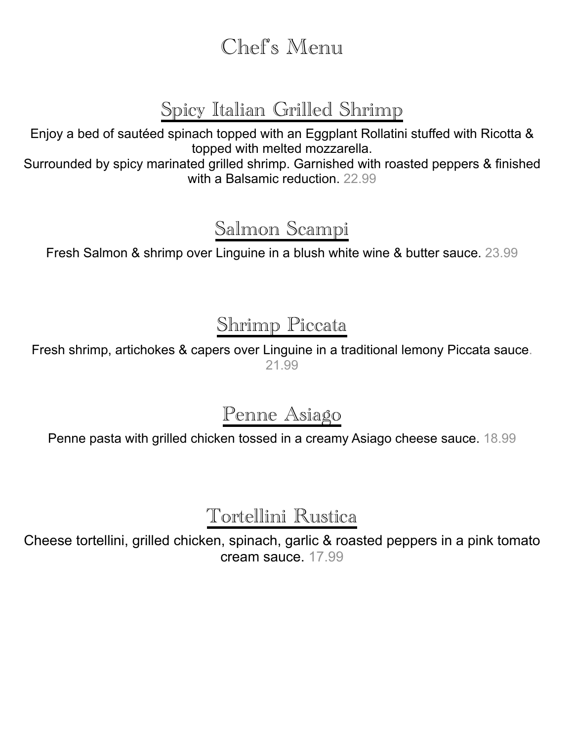Chef's Menu

# Spicy Italian Grilled Shrimp

Enjoy a bed of sautéed spinach topped with an Eggplant Rollatini stuffed with Ricotta & topped with melted mozzarella.

Surrounded by spicy marinated grilled shrimp. Garnished with roasted peppers & finished with a Balsamic reduction. 22.99

# Salmon Scampi

Fresh Salmon & shrimp over Linguine in a blush white wine & butter sauce. 23.99

# Shrimp Piccata

Fresh shrimp, artichokes & capers over Linguine in a traditional lemony Piccata sauce. 21.99

# Penne Asiago

Penne pasta with grilled chicken tossed in a creamy Asiago cheese sauce. 18.99

# Tortellini Rustica

Cheese tortellini, grilled chicken, spinach, garlic & roasted peppers in a pink tomato cream sauce. 17.99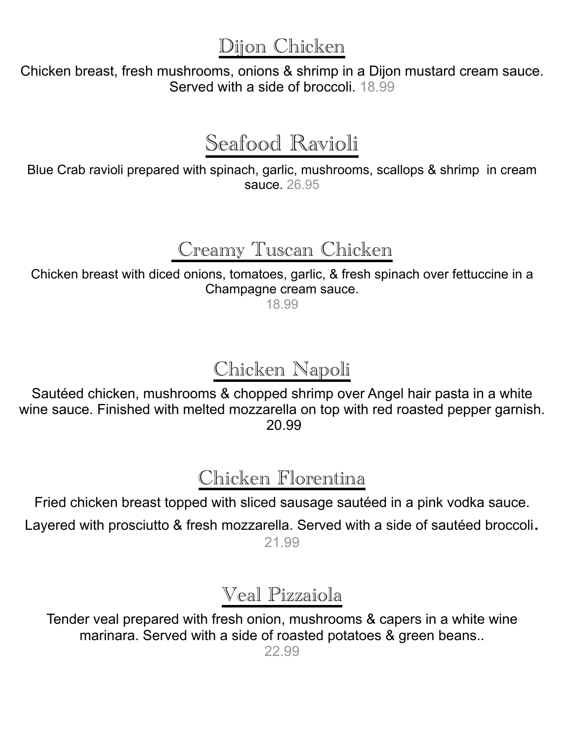Dijon Chicken

Chicken breast, fresh mushrooms, onions & shrimp in a Dijon mustard cream sauce. Served with a side of broccoli. 18.99

# Seafood Ravioli

Blue Crab ravioli prepared with spinach, garlic, mushrooms, scallops & shrimp in cream sauce. 26.95

## Creamy Tuscan Chicken

Chicken breast with diced onions, tomatoes, garlic, & fresh spinach over fettuccine in a Champagne cream sauce.

18.99

# Chicken Napoli

Sautéed chicken, mushrooms & chopped shrimp over Angel hair pasta in a white wine sauce. Finished with melted mozzarella on top with red roasted pepper garnish. 20.99

# Chicken Florentina

Fried chicken breast topped with sliced sausage sautéed in a pink vodka sauce. Layered with prosciutto & fresh mozzarella. Served with a side of sautéed broccoli. 21.99

# Veal Pizzaiola

Tender veal prepared with fresh onion, mushrooms & capers in a white wine marinara. Served with a side of roasted potatoes & green beans..

22.99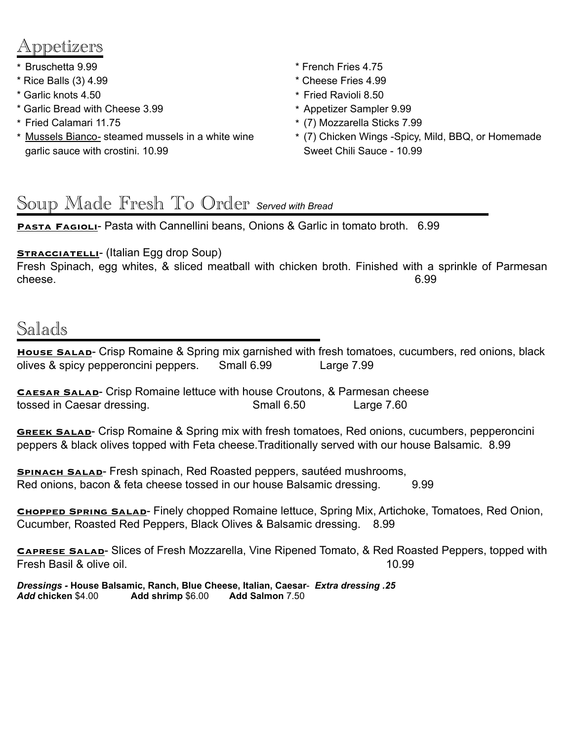## ənetizers

- \* Bruschetta 9.99
- \* Rice Balls (3) 4.99
- \* Garlic knots 4.50
- \* Garlic Bread with Cheese 3.99
- \* Fried Calamari 11.75
- \* Mussels Bianco*-* steamed mussels in a white wine garlic sauce with crostini. 10.99
- \* French Fries 4.75
- \* Cheese Fries 4.99
- \* Fried Ravioli 8.50
- \* Appetizer Sampler 9.99
- \* (7) Mozzarella Sticks 7.99
- \* (7) Chicken Wings -Spicy, Mild, BBQ, or Homemade Sweet Chili Sauce - 10.99

### Soup Made Fresh To Order *Served with Bread*

**PASTA FAGIOLI-** Pasta with Cannellini beans, Onions & Garlic in tomato broth. 6.99

#### **STRACCIATELLI-** (Italian Egg drop Soup)

Fresh Spinach, egg whites, & sliced meatball with chicken broth. Finished with a sprinkle of Parmesan cheese. 6.99

### Salads

**HOUSE SALAD**- Crisp Romaine & Spring mix garnished with fresh tomatoes, cucumbers, red onions, black olives & spicy pepperoncini peppers. Small 6.99 Large 7.99

**Caesar Salad**- Crisp Romaine lettuce with house Croutons, & Parmesan cheese tossed in Caesar dressing. Small 6.50 Large 7.60

**GREEK SALAD-** Crisp Romaine & Spring mix with fresh tomatoes, Red onions, cucumbers, pepperoncini peppers & black olives topped with Feta cheese.Traditionally served with our house Balsamic. 8.99

**SPINACH SALAD-** Fresh spinach, Red Roasted peppers, sautéed mushrooms, Red onions, bacon & feta cheese tossed in our house Balsamic dressing. 9.99

**Chopped Spring Salad**- Finely chopped Romaine lettuce, Spring Mix, Artichoke, Tomatoes, Red Onion, Cucumber, Roasted Red Peppers, Black Olives & Balsamic dressing. 8.99

**Caprese Salad**- Slices of Fresh Mozzarella, Vine Ripened Tomato, & Red Roasted Peppers, topped with Fresh Basil & olive oil. 10.99

*Dressings -* **House Balsamic, Ranch, Blue Cheese, Italian, Caesar**- *Extra dressing .25 Add* **chicken** \$4.00 **Add shrimp** \$6.00 **Add Salmon** 7.50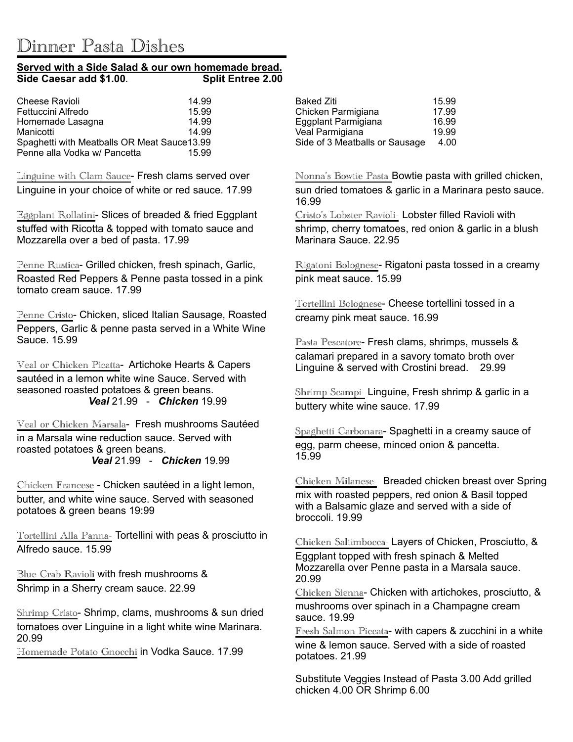# Dinner Pasta Dishes<br>**Served with a Side Salad & our own homemade bread.**<br>Side Caesar add \$1.00. Split Entree 2.00 **Side Caesar add \$1.00**

| <b>Cheese Ravioli</b>                       | 14.99 |
|---------------------------------------------|-------|
| Fettuccini Alfredo                          | 15.99 |
| Homemade Lasagna                            | 14.99 |
| Manicotti                                   | 14 99 |
| Spaghetti with Meatballs OR Meat Sauce13.99 |       |
| Penne alla Vodka w/ Pancetta                | 15.99 |

Linguine with Clam Sauce- Fresh clams served over Linguine in your choice of white or red sauce. 17.99

Eggplant Rollatini- Slices of breaded & fried Eggplant stuffed with Ricotta & topped with tomato sauce and Mozzarella over a bed of pasta. 17.99

Penne Rustica- Grilled chicken, fresh spinach, Garlic, Roasted Red Peppers & Penne pasta tossed in a pink tomato cream sauce. 17.99

Penne Cristo- Chicken, sliced Italian Sausage, Roasted Peppers, Garlic & penne pasta served in a White Wine Sauce. 15.99

Veal or Chicken Picatta- Artichoke Hearts & Capers sautéed in a lemon white wine Sauce. Served with seasoned roasted potatoes & green beans. *Veal* 21.99 - *Chicken* 19.99

Veal or Chicken Marsala- Fresh mushrooms Sautéed in a Marsala wine reduction sauce. Served with roasted potatoes & green beans. *Veal* 21.99 - *Chicken* 19.99

Chicken Francese - Chicken sautéed in a light lemon, butter, and white wine sauce. Served with seasoned potatoes & green beans 19:99

Tortellini Alla Panna- Tortellini with peas & prosciutto in Alfredo sauce. 15.99

Blue Crab Ravioli with fresh mushrooms & Shrimp in a Sherry cream sauce. 22.99

Shrimp Cristo- Shrimp, clams, mushrooms & sun dried tomatoes over Linguine in a light white wine Marinara. 20.99

Homemade Potato Gnocchi in Vodka Sauce. 17.99

| Baked Ziti                     | 15.99 |
|--------------------------------|-------|
| Chicken Parmigiana             | 17.99 |
| Eggplant Parmigiana            | 16.99 |
| Veal Parmigiana                | 19.99 |
| Side of 3 Meatballs or Sausage | 4.00  |
|                                |       |

Nonna's Bowtie Pasta Bowtie pasta with grilled chicken, sun dried tomatoes & garlic in a Marinara pesto sauce. 16.99

Cristo's Lobster Ravioli- Lobster filled Ravioli with

shrimp, cherry tomatoes, red onion & garlic in a blush Marinara Sauce. 22.95

Rigatoni Bolognese- Rigatoni pasta tossed in a creamy pink meat sauce. 15.99

Tortellini Bolognese- Cheese tortellini tossed in a creamy pink meat sauce. 16.99

Pasta Pescatore- Fresh clams, shrimps, mussels & calamari prepared in a savory tomato broth over Linguine & served with Crostini bread. 29.99

Shrimp Scampi- Linguine, Fresh shrimp & garlic in a buttery white wine sauce. 17.99

Spaghetti Carbonara- Spaghetti in a creamy sauce of egg, parm cheese, minced onion & pancetta. 15.99

Chicken Milanese- Breaded chicken breast over Spring mix with roasted peppers, red onion & Basil topped with a Balsamic glaze and served with a side of broccoli. 19.99

Chicken Saltimbocca- Layers of Chicken, Prosciutto, & Eggplant topped with fresh spinach & Melted Mozzarella over Penne pasta in a Marsala sauce. 20.99

Chicken Sienna- Chicken with artichokes, prosciutto, & mushrooms over spinach in a Champagne cream sauce. 19.99

Fresh Salmon Piccata- with capers & zucchini in a white wine & lemon sauce. Served with a side of roasted potatoes. 21.99

Substitute Veggies Instead of Pasta 3.00 Add grilled chicken 4.00 OR Shrimp 6.00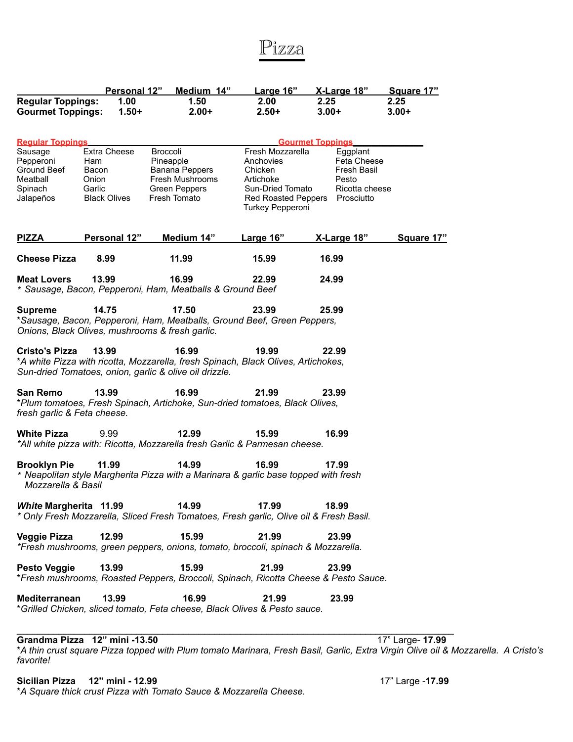### Pizza

| <b>Regular Toppings:</b>                                                                           | Personal 12"<br>1.00                                                   | Medium 14"<br>1.50                                                                                                                                   | Large 16"<br>2.00 <sub>1</sub>                                                                                              | X-Large 18"<br>2.25                                                                                        | Square 17"<br>2.25 |
|----------------------------------------------------------------------------------------------------|------------------------------------------------------------------------|------------------------------------------------------------------------------------------------------------------------------------------------------|-----------------------------------------------------------------------------------------------------------------------------|------------------------------------------------------------------------------------------------------------|--------------------|
| <b>Gourmet Toppings:</b>                                                                           | $1.50+$                                                                | $2.00+$                                                                                                                                              | $2.50+$                                                                                                                     | $3.00+$                                                                                                    | $3.00+$            |
| <b>Regular Toppings</b><br>Sausage<br>Pepperoni<br>Ground Beef<br>Meatball<br>Spinach<br>Jalapeños | Extra Cheese<br>Ham<br>Bacon<br>Onion<br>Garlic<br><b>Black Olives</b> | Broccoli<br>Pineapple<br>Banana Peppers<br>Fresh Mushrooms<br><b>Green Peppers</b><br>Fresh Tomato                                                   | Fresh Mozzarella<br>Anchovies<br>Chicken<br>Artichoke<br>Sun-Dried Tomato<br><b>Red Roasted Peppers</b><br>Turkey Pepperoni | <b>Gourmet Toppings</b><br>Eggplant<br>Feta Cheese<br>Fresh Basil<br>Pesto<br>Ricotta cheese<br>Prosciutto |                    |
| <b>PIZZA</b>                                                                                       | Personal 12"                                                           | Medium 14"                                                                                                                                           | <b>Large 16"</b>                                                                                                            | <u>X-Large 18"</u>                                                                                         | Square 17"         |
| <b>Cheese Pizza</b>                                                                                | 8.99                                                                   | 11.99                                                                                                                                                | 15.99                                                                                                                       | 16.99                                                                                                      |                    |
| <b>Meat Lovers</b>                                                                                 | 13.99                                                                  | 16.99<br>* Sausage, Bacon, Pepperoni, Ham, Meatballs & Ground Beef                                                                                   | 22.99                                                                                                                       | 24.99                                                                                                      |                    |
| <b>Supreme</b>                                                                                     | 14.75                                                                  | 17.50<br>*Sausage, Bacon, Pepperoni, Ham, Meatballs, Ground Beef, Green Peppers,<br>Onions, Black Olives, mushrooms & fresh garlic.                  | 23.99                                                                                                                       | 25.99                                                                                                      |                    |
| <b>Cristo's Pizza</b>                                                                              | 13.99                                                                  | 16.99<br>*A white Pizza with ricotta, Mozzarella, fresh Spinach, Black Olives, Artichokes,<br>Sun-dried Tomatoes, onion, garlic & olive oil drizzle. | 19.99                                                                                                                       | 22.99                                                                                                      |                    |
| <b>San Remo</b><br>fresh garlic & Feta cheese.                                                     | 13.99                                                                  | 16.99<br>*Plum tomatoes, Fresh Spinach, Artichoke, Sun-dried tomatoes, Black Olives,                                                                 | 21.99                                                                                                                       | 23.99                                                                                                      |                    |
| <b>White Pizza</b>                                                                                 | 9.99                                                                   | 12.99<br>*All white pizza with: Ricotta, Mozzarella fresh Garlic & Parmesan cheese.                                                                  | 15.99                                                                                                                       | 16.99                                                                                                      |                    |
| <b>Brooklyn Pie</b><br>Mozzarella & Basil                                                          | 11.99                                                                  | 14.99<br>* Neapolitan style Margherita Pizza with a Marinara & garlic base topped with fresh                                                         | 16.99                                                                                                                       | 17.99                                                                                                      |                    |
|                                                                                                    | White Margherita 11.99 14.99                                           | * Only Fresh Mozzarella, Sliced Fresh Tomatoes, Fresh garlic, Olive oil & Fresh Basil.                                                               | 17.99                                                                                                                       | 18.99                                                                                                      |                    |
| <b>Veggie Pizza</b>                                                                                | 12.99                                                                  | 15.99<br>*Fresh mushrooms, green peppers, onions, tomato, broccoli, spinach & Mozzarella.                                                            | 21.99                                                                                                                       | 23.99                                                                                                      |                    |
| <b>Pesto Veggie</b>                                                                                | 13.99                                                                  | 15.99<br>*Fresh mushrooms, Roasted Peppers, Broccoli, Spinach, Ricotta Cheese & Pesto Sauce.                                                         | 21.99                                                                                                                       | 23.99                                                                                                      |                    |
| Mediterranean                                                                                      | 13.99                                                                  | 16.99<br>*Grilled Chicken, sliced tomato, Feta cheese, Black Olives & Pesto sauce.                                                                   | 21.99                                                                                                                       | 23.99                                                                                                      |                    |

#### **Grandma Pizza 12" mini -13.50** 17" Large- **17.99**

\**A thin crust square Pizza topped with Plum tomato Marinara, Fresh Basil, Garlic, Extra Virgin Olive oil & Mozzarella. A Cristo's favorite!* 

### **Sicilian Pizza 12" mini - 12.99** 17" Large -**17.99**

\**A Square thick crust Pizza with Tomato Sauce & Mozzarella Cheese.*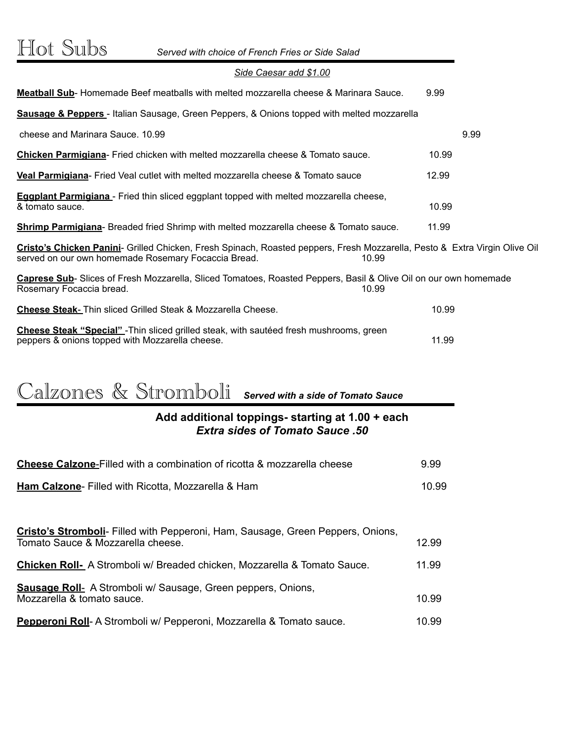#### *Side Caesar add \$1.00*

| <b>Meatball Sub-</b> Homemade Beef meatballs with melted mozzarella cheese & Marinara Sauce.                                                                                               | 9.99  |  |
|--------------------------------------------------------------------------------------------------------------------------------------------------------------------------------------------|-------|--|
| <b>Sausage &amp; Peppers</b> - Italian Sausage, Green Peppers, & Onions topped with melted mozzarella                                                                                      |       |  |
| cheese and Marinara Sauce, 10.99                                                                                                                                                           | 9.99  |  |
| <b>Chicken Parmigiana-</b> Fried chicken with melted mozzarella cheese & Tomato sauce.                                                                                                     | 10.99 |  |
| Veal Parmigiana- Fried Veal cutlet with melted mozzarella cheese & Tomato sauce                                                                                                            | 12.99 |  |
| <b>Eggplant Parmigiana</b> - Fried thin sliced eggplant topped with melted mozzarella cheese,<br>& tomato sauce.                                                                           | 10.99 |  |
| <b>Shrimp Parmigiana-</b> Breaded fried Shrimp with melted mozzarella cheese & Tomato sauce.                                                                                               | 11.99 |  |
| Cristo's Chicken Panini- Grilled Chicken, Fresh Spinach, Roasted peppers, Fresh Mozzarella, Pesto & Extra Virgin Olive Oil<br>served on our own homemade Rosemary Focaccia Bread.<br>10.99 |       |  |
| Caprese Sub- Slices of Fresh Mozzarella, Sliced Tomatoes, Roasted Peppers, Basil & Olive Oil on our own homemade<br>10.99<br>Rosemary Focaccia bread.                                      |       |  |
| <b>Cheese Steak-</b> Thin sliced Grilled Steak & Mozzarella Cheese.                                                                                                                        | 10.99 |  |
| <b>Cheese Steak "Special"</b> - Thin sliced grilled steak, with sauteed fresh mushrooms, green<br>peppers & onions topped with Mozzarella cheese.                                          | 11.99 |  |

# Calzones & Stromboli *Served with a side of Tomato Sauce*

#### **Add additional toppings- starting at 1.00 + each** *Extra sides of Tomato Sauce .50*

| <b>Cheese Calzone-Filled with a combination of ricotta &amp; mozzarella cheese</b>                                   | 9.99           |
|----------------------------------------------------------------------------------------------------------------------|----------------|
| <b>Ham Calzone-</b> Filled with Ricotta, Mozzarella & Ham                                                            | 10.99          |
| <b>Cristo's Stromboli</b> - Filled with Pepperoni, Ham, Sausage, Green Peppers, Onions,                              |                |
| Tomato Sauce & Mozzarella cheese.<br><b>Chicken Roll-</b> A Stromboli w/ Breaded chicken, Mozzarella & Tomato Sauce. | 12.99<br>11.99 |
| <b>Sausage Roll-</b> A Stromboli w/ Sausage, Green peppers, Onions,<br>Mozzarella & tomato sauce.                    | 10.99          |
| Pepperoni Roll- A Stromboli w/ Pepperoni, Mozzarella & Tomato sauce.                                                 | 10.99          |